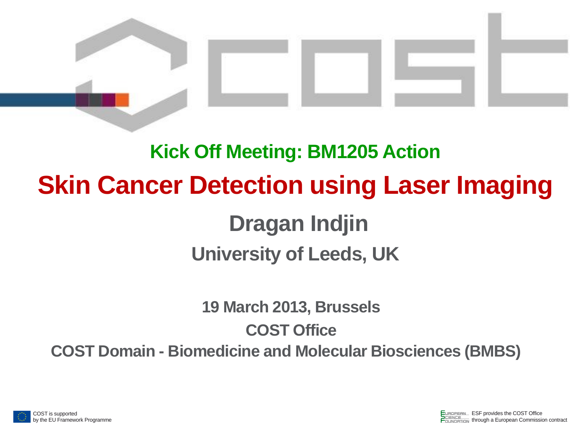

# **Kick Off Meeting: BM1205 Action Skin Cancer Detection using Laser Imaging Dragan Indjin University of Leeds, UK**

**19 March 2013, Brussels COST Office COST Domain - Biomedicine and Molecular Biosciences (BMBS)**

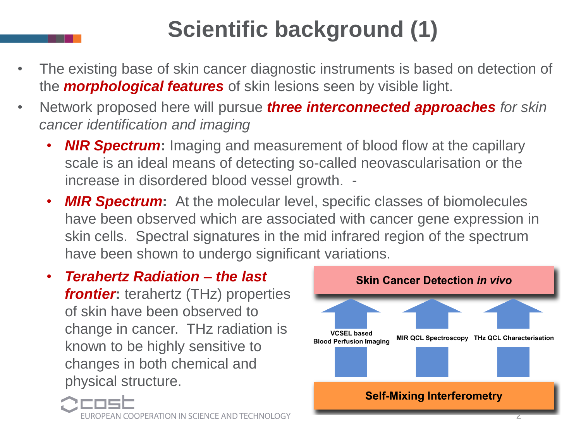## **Scientific background (1)**

- The existing base of skin cancer diagnostic instruments is based on detection of the *morphological features* of skin lesions seen by visible light.
- Network proposed here will pursue *three interconnected approaches for skin cancer identification and imaging*
	- *NIR Spectrum***:** Imaging and measurement of blood flow at the capillary scale is an ideal means of detecting so-called neovascularisation or the increase in disordered blood vessel growth. -
	- *MIR Spectrum***:** At the molecular level, specific classes of biomolecules have been observed which are associated with cancer gene expression in skin cells. Spectral signatures in the mid infrared region of the spectrum have been shown to undergo significant variations.
	- *Terahertz Radiation – the last frontier***:** terahertz (THz) properties of skin have been observed to change in cancer. THz radiation is known to be highly sensitive to changes in both chemical and physical structure.



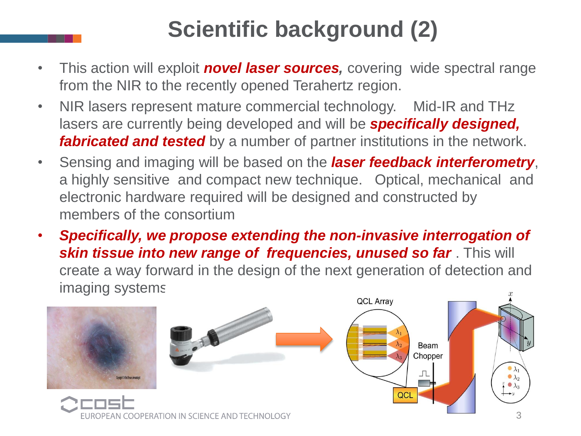## **Scientific background (2)**

- This action will exploit *novel laser sources,* covering wide spectral range from the NIR to the recently opened Terahertz region.
- NIR lasers represent mature commercial technology. Mid-IR and THz lasers are currently being developed and will be *specifically designed, fabricated and tested* by a number of partner institutions in the network.
- Sensing and imaging will be based on the *laser feedback interferometry*, a highly sensitive and compact new technique. Optical, mechanical and electronic hardware required will be designed and constructed by members of the consortium
- *Specifically, we propose extending the non-invasive interrogation of skin tissue into new range of frequencies, unused so far.* **This will** create a way forward in the design of the next generation of detection and imaging systems.

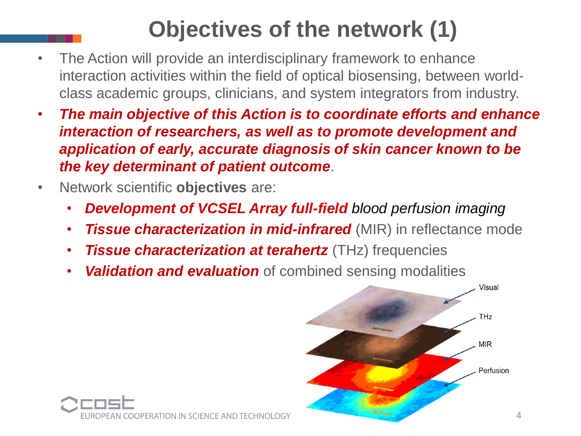## **Objectives of the network (1)**

- The Action will provide an interdisciplinary framework to enhance interaction activities within the field of optical biosensing, between worldclass academic groups, clinicians, and system integrators from industry.
- *The main objective of this Action is to coordinate efforts and enhance interaction of researchers, as well as to promote development and application of early, accurate diagnosis of skin cancer known to be the key determinant of patient outcome*.
- Network scientific **objectives** are:
	- *Development of VCSEL Array full-field blood perfusion imaging*
	- **Tissue characterization in mid-infrared** (MIR) in reflectance mode
	- *Tissue characterization at terahertz* (THz) frequencies

COOPERATION IN SCIENCE AND TECHNOLOGY

• *Validation and evaluation* of combined sensing modalities

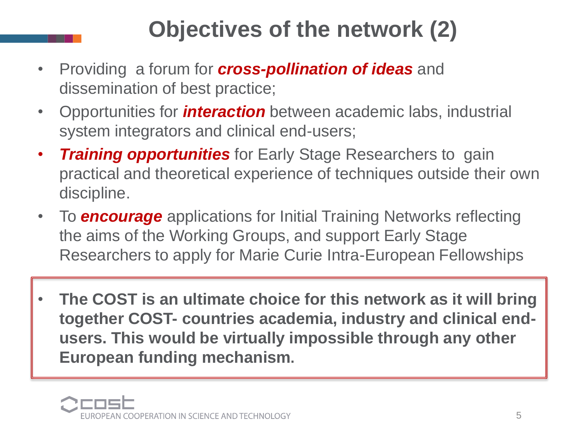## **Objectives of the network (2)**

- Providing a forum for *cross-pollination of ideas* and dissemination of best practice;
- Opportunities for *interaction* between academic labs, industrial system integrators and clinical end-users;
- *Training opportunities* for Early Stage Researchers to gain practical and theoretical experience of techniques outside their own discipline.
- To *encourage* applications for Initial Training Networks reflecting the aims of the Working Groups, and support Early Stage Researchers to apply for Marie Curie Intra-European Fellowships
- **The COST is an ultimate choice for this network as it will bring together COST- countries academia, industry and clinical endusers. This would be virtually impossible through any other European funding mechanism.**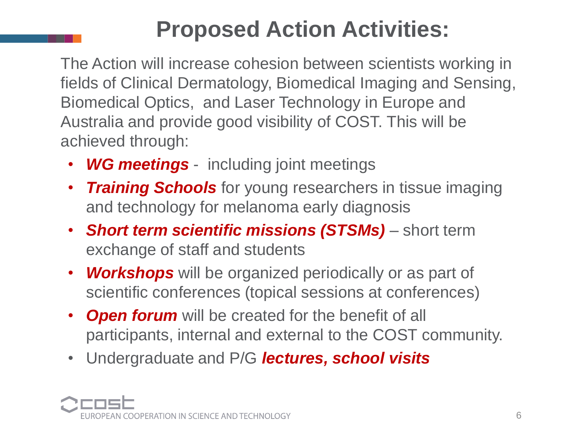## **Proposed Action Activities:**

 The Action will increase cohesion between scientists working in fields of Clinical Dermatology, Biomedical Imaging and Sensing, Biomedical Optics, and Laser Technology in Europe and Australia and provide good visibility of COST. This will be achieved through:

- *WG meetings*  including joint meetings
- *Training Schools* for young researchers in tissue imaging and technology for melanoma early diagnosis
- *Short term scientific missions (STSMs)*  short term exchange of staff and students
- *Workshops* will be organized periodically or as part of scientific conferences (topical sessions at conferences)
- *Open forum* will be created for the benefit of all participants, internal and external to the COST community.
- Undergraduate and P/G *lectures, school visits*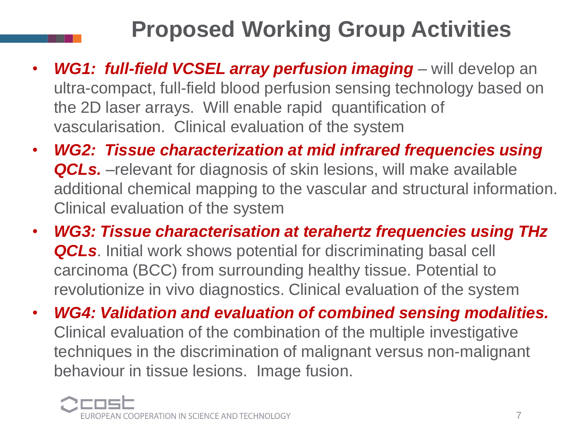## **Proposed Working Group Activities**

- WG1: full-field VCSEL array perfusion imaging will develop an ultra-compact, full-field blood perfusion sensing technology based on the 2D laser arrays. Will enable rapid quantification of vascularisation. Clinical evaluation of the system
- *WG2: Tissue characterization at mid infrared frequencies using*  **QCLs.** –relevant for diagnosis of skin lesions, will make available additional chemical mapping to the vascular and structural information. Clinical evaluation of the system
- *WG3: Tissue characterisation at terahertz frequencies using THz QCLs*. Initial work shows potential for discriminating basal cell carcinoma (BCC) from surrounding healthy tissue. Potential to revolutionize in vivo diagnostics. Clinical evaluation of the system
- *WG4: Validation and evaluation of combined sensing modalities.*  Clinical evaluation of the combination of the multiple investigative techniques in the discrimination of malignant versus non-malignant behaviour in tissue lesions. Image fusion.

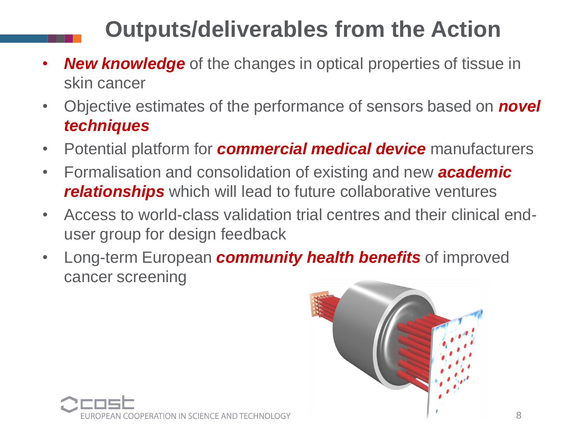### **Outputs/deliverables from the Action**

- *New knowledge* of the changes in optical properties of tissue in skin cancer
- Objective estimates of the performance of sensors based on *novel techniques*
- Potential platform for *commercial medical device* manufacturers
- Formalisation and consolidation of existing and new *academic relationships* which will lead to future collaborative ventures
- Access to world-class validation trial centres and their clinical enduser group for design feedback
- Long-term European *community health benefits* of improved cancer screening



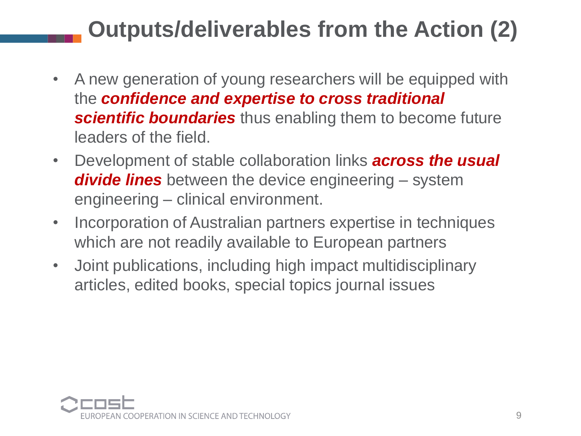## **Outputs/deliverables from the Action (2)**

- A new generation of young researchers will be equipped with the *confidence and expertise to cross traditional scientific boundaries* thus enabling them to become future leaders of the field.
- Development of stable collaboration links *across the usual divide lines* between the device engineering – system engineering – clinical environment.
- Incorporation of Australian partners expertise in techniques which are not readily available to European partners
- Joint publications, including high impact multidisciplinary articles, edited books, special topics journal issues

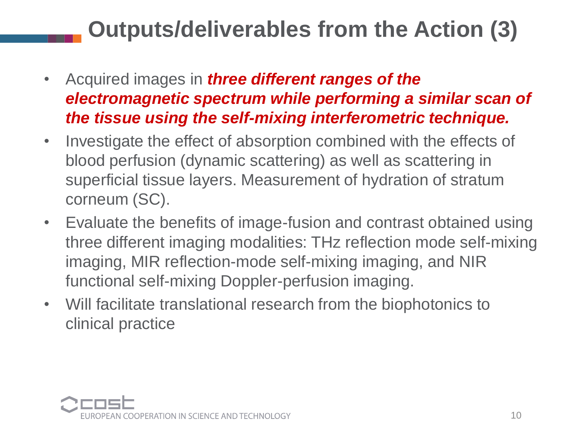### **Outputs/deliverables from the Action (3)**

- Acquired images in *three different ranges of the electromagnetic spectrum while performing a similar scan of the tissue using the self-mixing interferometric technique.*
- Investigate the effect of absorption combined with the effects of blood perfusion (dynamic scattering) as well as scattering in superficial tissue layers. Measurement of hydration of stratum corneum (SC).
- Evaluate the benefits of image-fusion and contrast obtained using three different imaging modalities: THz reflection mode self-mixing imaging, MIR reflection-mode self-mixing imaging, and NIR functional self-mixing Doppler-perfusion imaging.
- Will facilitate translational research from the biophotonics to clinical practice

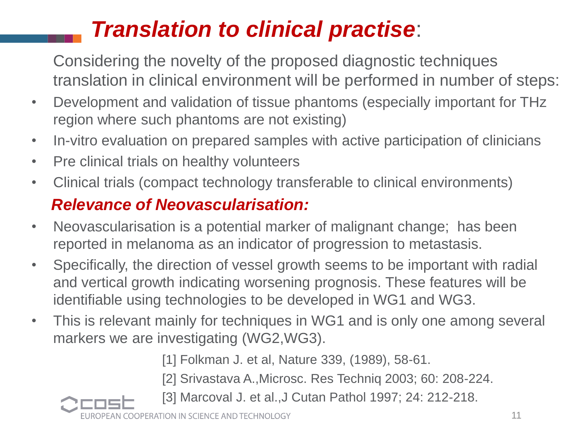### *Translation to clinical practise*:

Considering the novelty of the proposed diagnostic techniques translation in clinical environment will be performed in number of steps:

- Development and validation of tissue phantoms (especially important for THz region where such phantoms are not existing)
- In-vitro evaluation on prepared samples with active participation of clinicians
- Pre clinical trials on healthy volunteers
- Clinical trials (compact technology transferable to clinical environments)

#### *Relevance of Neovascularisation:*

- Neovascularisation is a potential marker of malignant change; has been reported in melanoma as an indicator of progression to metastasis.
- Specifically, the direction of vessel growth seems to be important with radial and vertical growth indicating worsening prognosis. These features will be identifiable using technologies to be developed in WG1 and WG3.
- This is relevant mainly for techniques in WG1 and is only one among several markers we are investigating (WG2,WG3).

[1] Folkman J. et al, Nature 339, (1989), 58-61.

- [2] Srivastava A.,Microsc. Res Techniq 2003; 60: 208-224.
- [3] Marcoval J. et al.,J Cutan Pathol 1997; 24: 212-218.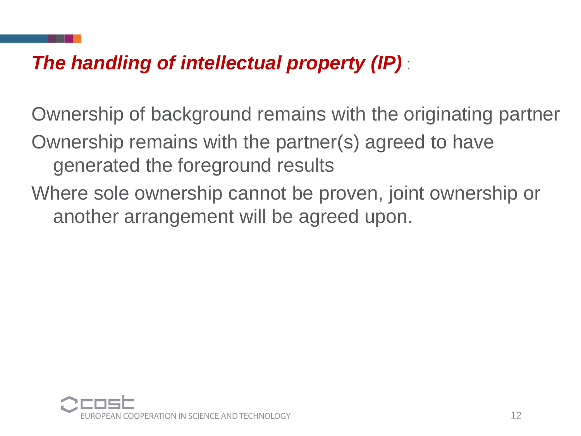### *The handling of intellectual property (IP)* :

Ownership of background remains with the originating partner Ownership remains with the partner(s) agreed to have generated the foreground results

Where sole ownership cannot be proven, joint ownership or another arrangement will be agreed upon.

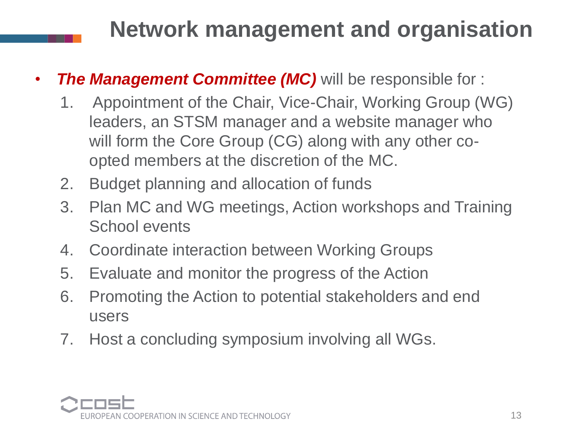### **Network management and organisation**

- *The Management Committee (MC)* will be responsible for :
	- 1. Appointment of the Chair, Vice-Chair, Working Group (WG) leaders, an STSM manager and a website manager who will form the Core Group (CG) along with any other coopted members at the discretion of the MC.
	- 2. Budget planning and allocation of funds
	- 3. Plan MC and WG meetings, Action workshops and Training School events
	- 4. Coordinate interaction between Working Groups
	- 5. Evaluate and monitor the progress of the Action
	- 6. Promoting the Action to potential stakeholders and end users
	- 7. Host a concluding symposium involving all WGs.

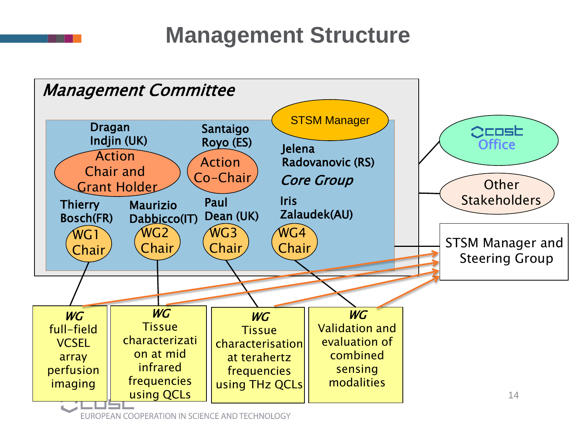**Management Structure**



EUROPEAN COOPERATION IN SCIENCE AND TECHNOLOGY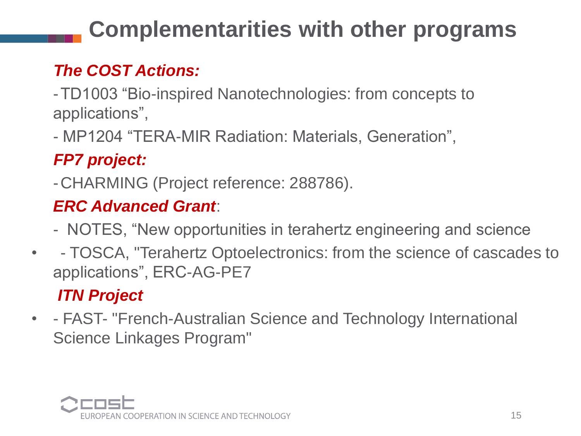## **Complementarities with other programs**

### *The COST Actions:*

-TD1003 "Bio-inspired Nanotechnologies: from concepts to applications",

- MP1204 "TERA-MIR Radiation: Materials, Generation",

### *FP7 project:*

-CHARMING (Project reference: 288786).

### *ERC Advanced Grant*:

- NOTES, "New opportunities in terahertz engineering and science
- - TOSCA, "Terahertz Optoelectronics: from the science of cascades to applications", ERC-AG-PE7

### *ITN Project*

• - FAST- "French-Australian Science and Technology International Science Linkages Program"

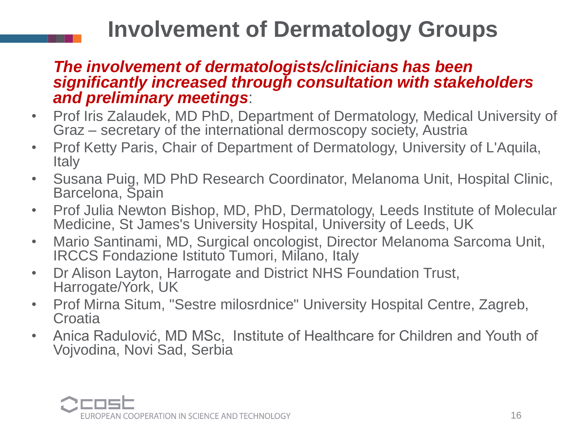### **Involvement of Dermatology Groups**

#### *The involvement of dermatologists/clinicians has been significantly increased through consultation with stakeholders and preliminary meetings*:

- Prof Iris Zalaudek, MD PhD, Department of Dermatology, Medical University of Graz – secretary of the international dermoscopy society, Austria
- Prof Ketty Paris, Chair of Department of Dermatology, University of L'Aquila, **Italy**
- Susana Puig, MD PhD Research Coordinator, Melanoma Unit, Hospital Clinic, Barcelona, Spain
- Prof Julia Newton Bishop, MD, PhD, Dermatology, Leeds Institute of Molecular Medicine, St James's University Hospital, University of Leeds, UK
- Mario Santinami, MD, Surgical oncologist, Director Melanoma Sarcoma Unit, IRCCS Fondazione Istituto Tumori, Milano, Italy
- Dr Alison Layton, Harrogate and District NHS Foundation Trust, Harrogate/York, UK
- Prof Mirna Situm, "Sestre milosrdnice" University Hospital Centre, Zagreb, **Croatia**
- Anica Radulović, MD MSc, Institute of Healthcare for Children and Youth of Vojvodina, Novi Sad, Serbia

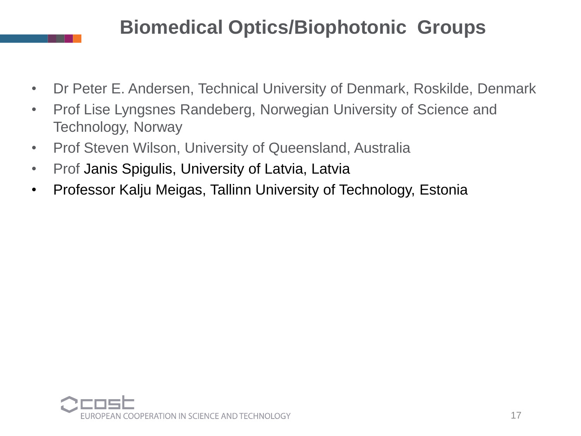### **Biomedical Optics/Biophotonic Groups**

- Dr Peter E. Andersen, Technical University of Denmark, Roskilde, Denmark
- Prof Lise Lyngsnes Randeberg, Norwegian University of Science and Technology, Norway
- Prof Steven Wilson, University of Queensland, Australia
- Prof Janis Spigulis, University of Latvia, Latvia
- Professor Kalju Meigas, Tallinn University of Technology, Estonia